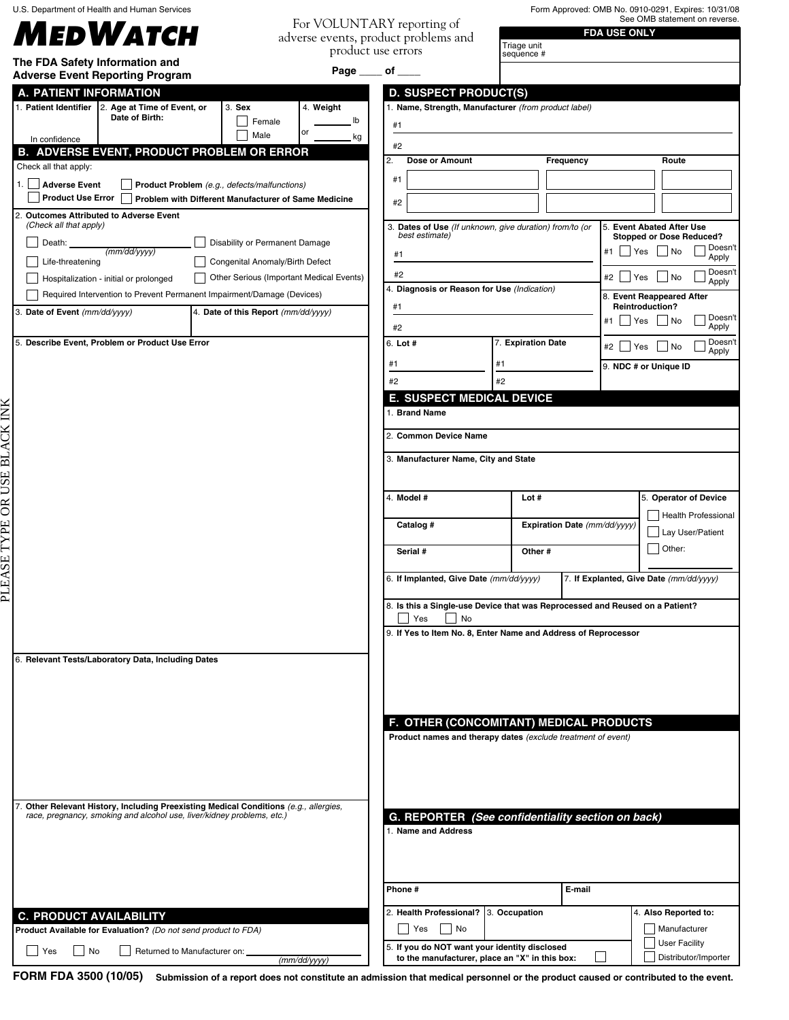U.S. Department of Health and Human Services

## *MEDWATCH*

PLEASE TYPE OR USE BLACK INK

PLEASE TYPE OR USE BLACK INK

For VOLUNTARY reporting of

Form Approved: OMB No. 0910-0291, Expires: 10/31/08 See OMB statement on reverse.

| MEDWATCH                                                                                 |                                                                                                         | TUL VULUIVITTIIVI IUPUHIIIR UI<br>adverse events, product problems and                    |                              | <b>FDA USE ONLY</b>                                 |
|------------------------------------------------------------------------------------------|---------------------------------------------------------------------------------------------------------|-------------------------------------------------------------------------------------------|------------------------------|-----------------------------------------------------|
| The FDA Safety Information and                                                           |                                                                                                         | product use errors                                                                        | Triage unit<br>sequence #    |                                                     |
| <b>Adverse Event Reporting Program</b>                                                   |                                                                                                         | Page $\rule{1em}{0.15mm}$ of $\rule{1.5mm}{0.15mm}$                                       |                              |                                                     |
| A. PATIENT INFORMATION                                                                   |                                                                                                         | <b>D. SUSPECT PRODUCT(S)</b>                                                              |                              |                                                     |
| 1. Patient Identifier   2. Age at Time of Event, or<br>Date of Birth:                    | 3. Sex<br>4. Weight                                                                                     | 1. Name, Strength, Manufacturer (from product label)                                      |                              |                                                     |
|                                                                                          | lb<br>Female<br>or<br>Male                                                                              | #1                                                                                        |                              |                                                     |
| In confidence<br><b>B. ADVERSE EVENT, PRODUCT PROBLEM OR ERROR</b>                       | kg                                                                                                      | #2                                                                                        |                              |                                                     |
| Check all that apply:                                                                    |                                                                                                         | 2.<br>Dose or Amount                                                                      | Frequency                    | Route                                               |
| <b>Adverse Event</b><br>1.1                                                              |                                                                                                         | #1                                                                                        |                              |                                                     |
| <b>Product Use Error</b>                                                                 | Product Problem (e.g., defects/malfunctions)<br>Problem with Different Manufacturer of Same Medicine    |                                                                                           |                              |                                                     |
| 2.<br><b>Outcomes Attributed to Adverse Event</b>                                        |                                                                                                         | #2                                                                                        |                              |                                                     |
| (Check all that apply)                                                                   |                                                                                                         | 3. Dates of Use (If unknown, give duration) from/to (or                                   |                              | 5. Event Abated After Use                           |
| Death:                                                                                   | Disability or Permanent Damage                                                                          | best estimate)                                                                            |                              | <b>Stopped or Dose Reduced?</b><br>Doesn't          |
| (mm/dd/yyyy)<br>Life-threatening                                                         | Congenital Anomaly/Birth Defect                                                                         | #1                                                                                        |                              | $Yes$ No<br>#1<br>Apply                             |
| Hospitalization - initial or prolonged                                                   | Other Serious (Important Medical Events)                                                                | #2                                                                                        |                              | Doesn't<br>#2<br>∣ Yes<br>$ $ No<br>Apply           |
| Required Intervention to Prevent Permanent Impairment/Damage (Devices)                   |                                                                                                         | 4. Diagnosis or Reason for Use (Indication)                                               |                              | 8. Event Reappeared After                           |
| 3. Date of Event (mm/dd/yyyy)<br>4. Date of this Report (mm/dd/yyyy)                     |                                                                                                         | #1                                                                                        |                              | Reintroduction?                                     |
|                                                                                          |                                                                                                         | #2                                                                                        |                              | Doesn't<br>Yes     No<br>#1<br>Apply                |
| 5. Describe Event, Problem or Product Use Error                                          |                                                                                                         | 6. Lot #                                                                                  | 7. Expiration Date           | Doesn't<br>$ $ No<br>#2  <br>$\Box$ Yes             |
|                                                                                          |                                                                                                         | #1<br>#1                                                                                  |                              | Apply                                               |
|                                                                                          |                                                                                                         |                                                                                           |                              | 9. NDC # or Unique ID                               |
|                                                                                          |                                                                                                         | #2<br>#2                                                                                  |                              |                                                     |
|                                                                                          |                                                                                                         | E. SUSPECT MEDICAL DEVICE<br>1. Brand Name                                                |                              |                                                     |
|                                                                                          |                                                                                                         |                                                                                           |                              |                                                     |
|                                                                                          |                                                                                                         | 2. Common Device Name                                                                     |                              |                                                     |
|                                                                                          |                                                                                                         | 3. Manufacturer Name, City and State                                                      |                              |                                                     |
|                                                                                          |                                                                                                         |                                                                                           |                              |                                                     |
|                                                                                          |                                                                                                         | 4. Model #                                                                                | Lot #                        | 5. Operator of Device<br><b>Health Professional</b> |
|                                                                                          |                                                                                                         | Catalog #                                                                                 | Expiration Date (mm/dd/yyyy) | Lay User/Patient                                    |
|                                                                                          |                                                                                                         | Serial #                                                                                  | Other#                       | Other:                                              |
|                                                                                          |                                                                                                         | 6. If Implanted, Give Date (mm/dd/yyyy)                                                   |                              | 7. If Explanted, Give Date (mm/dd/yyyy)             |
|                                                                                          |                                                                                                         | 8. Is this a Single-use Device that was Reprocessed and Reused on a Patient?<br>Yes<br>No |                              |                                                     |
|                                                                                          |                                                                                                         | 9. If Yes to Item No. 8, Enter Name and Address of Reprocessor                            |                              |                                                     |
| 6. Relevant Tests/Laboratory Data, Including Dates                                       |                                                                                                         |                                                                                           |                              |                                                     |
|                                                                                          |                                                                                                         |                                                                                           |                              |                                                     |
|                                                                                          |                                                                                                         |                                                                                           |                              |                                                     |
|                                                                                          | F. OTHER (CONCOMITANT) MEDICAL PRODUCTS<br>Product names and therapy dates (exclude treatment of event) |                                                                                           |                              |                                                     |
|                                                                                          |                                                                                                         |                                                                                           |                              |                                                     |
|                                                                                          |                                                                                                         |                                                                                           |                              |                                                     |
| Other Relevant History, Including Preexisting Medical Conditions (e.g., allergies,<br>7. |                                                                                                         |                                                                                           |                              |                                                     |
| race, pregnancy, smoking and alcohol use, liver/kidney problems, etc.)                   |                                                                                                         | G. REPORTER (See confidentiality section on back)<br>1. Name and Address                  |                              |                                                     |
|                                                                                          |                                                                                                         |                                                                                           |                              |                                                     |
|                                                                                          |                                                                                                         |                                                                                           |                              |                                                     |
|                                                                                          |                                                                                                         | Phone #                                                                                   | E-mail                       |                                                     |
| <b>C. PRODUCT AVAILABILITY</b>                                                           |                                                                                                         | 2. Health Professional? 3. Occupation                                                     |                              | 4. Also Reported to:                                |
| Product Available for Evaluation? (Do not send product to FDA)                           |                                                                                                         | Yes<br>$\overline{\phantom{a}}$ No                                                        |                              | Manufacturer                                        |
|                                                                                          |                                                                                                         | 5. If you do NOT want your identity disclosed                                             |                              | <b>User Facility</b>                                |
| Returned to Manufacturer on:<br>No<br>Yes                                                | (mm/dd/yyyy)                                                                                            | to the manufacturer, place an "X" in this box:                                            |                              | Distributor/Importer                                |

**FORM FDA 3500 (10/05) Submission of a report does not constitute an admission that medical personnel or the product caused or contributed to the event.**